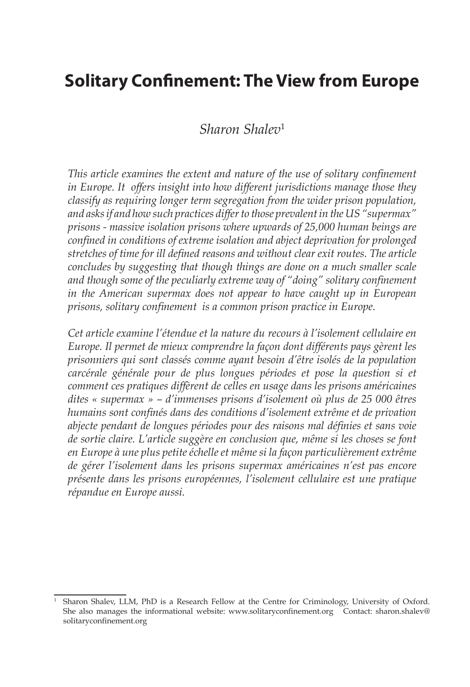# **Solitary Confinement: The View from Europe**

## *Sharon Shalev*<sup>1</sup>

*This article examines the extent and nature of the use of solitary confinement in Europe. It offers insight into how different jurisdictions manage those they classify as requiring longer term segregation from the wider prison population, and asks if and how such practices differ to those prevalent in the US "supermax" prisons - massive isolation prisons where upwards of 25,000 human beings are confined in conditions of extreme isolation and abject deprivation for prolonged stretches of time for ill defined reasons and without clear exit routes. The article concludes by suggesting that though things are done on a much smaller scale and though some of the peculiarly extreme way of "doing" solitary confinement in the American supermax does not appear to have caught up in European prisons, solitary confinement is a common prison practice in Europe.* 

*Cet article examine l'étendue et la nature du recours à l'isolement cellulaire en Europe. Il permet de mieux comprendre la façon dont différents pays gèrent les prisonniers qui sont classés comme ayant besoin d'être isolés de la population carcérale générale pour de plus longues périodes et pose la question si et comment ces pratiques diffèrent de celles en usage dans les prisons américaines dites « supermax » – d'immenses prisons d'isolement où plus de 25 000 êtres humains sont confinés dans des conditions d'isolement extrême et de privation abjecte pendant de longues périodes pour des raisons mal définies et sans voie de sortie claire. L'article suggère en conclusion que, même si les choses se font en Europe à une plus petite échelle et même si la façon particulièrement extrême de gérer l'isolement dans les prisons supermax américaines n'est pas encore présente dans les prisons européennes, l'isolement cellulaire est une pratique répandue en Europe aussi.* 

<sup>1</sup> Sharon Shalev, LLM, PhD is a Research Fellow at the Centre for Criminology, University of Oxford. She also manages the informational website: www.solitaryconfinement.org Contact: sharon.shalev@ solitaryconfinement.org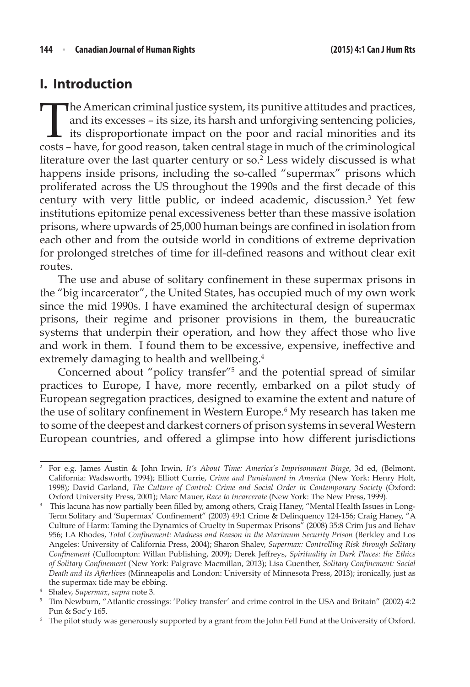## **I. Introduction**

The American criminal justice system, its punitive attitudes and practices,<br>and its excesses – its size, its harsh and unforgiving sentencing policies,<br>its disproportionate impact on the poor and racial minorities and its<br> and its excesses – its size, its harsh and unforgiving sentencing policies, its disproportionate impact on the poor and racial minorities and its costs – have, for good reason, taken central stage in much of the criminological literature over the last quarter century or so.<sup>2</sup> Less widely discussed is what happens inside prisons, including the so-called "supermax" prisons which proliferated across the US throughout the 1990s and the first decade of this century with very little public, or indeed academic, discussion.3 Yet few institutions epitomize penal excessiveness better than these massive isolation prisons, where upwards of 25,000 human beings are confined in isolation from each other and from the outside world in conditions of extreme deprivation for prolonged stretches of time for ill-defined reasons and without clear exit routes.

The use and abuse of solitary confinement in these supermax prisons in the "big incarcerator", the United States, has occupied much of my own work since the mid 1990s. I have examined the architectural design of supermax prisons, their regime and prisoner provisions in them, the bureaucratic systems that underpin their operation, and how they affect those who live and work in them. I found them to be excessive, expensive, ineffective and extremely damaging to health and wellbeing.<sup>4</sup>

Concerned about "policy transfer"5 and the potential spread of similar practices to Europe, I have, more recently, embarked on a pilot study of European segregation practices, designed to examine the extent and nature of the use of solitary confinement in Western Europe.<sup>6</sup> My research has taken me to some of the deepest and darkest corners of prison systems in several Western European countries, and offered a glimpse into how different jurisdictions

<sup>2</sup> For e.g. James Austin & John Irwin, *It's About Time: America's Imprisonment Binge*, 3d ed, (Belmont, California: Wadsworth, 1994); Elliott Currie, *Crime and Punishment in America* (New York: Henry Holt, 1998); David Garland, *The Culture of Control: Crime and Social Order in Contemporary Society* (Oxford: Oxford University Press, 2001); Marc Mauer, *Race to Incarcerate* (New York: The New Press, 1999).

<sup>&</sup>lt;sup>3</sup> This lacuna has now partially been filled by, among others, Craig Haney, "Mental Health Issues in Long-Term Solitary and 'Supermax' Confinement" (2003) 49:1 Crime & Delinquency 124-156; Craig Haney, "A Culture of Harm: Taming the Dynamics of Cruelty in Supermax Prisons" (2008) 35:8 Crim Jus and Behav 956; LA Rhodes, *Total Confinement: Madness and Reason in the Maximum Security Prison* (Berkley and Los Angeles: University of California Press, 2004); Sharon Shalev, *Supermax: Controlling Risk through Solitary Confinement* (Cullompton: Willan Publishing, 2009); Derek Jeffreys, *Spirituality in Dark Places: the Ethics of Solitary Confinement* (New York: Palgrave Macmillan, 2013); Lisa Guenther, *Solitary Confinement: Social Death and its Afterlives* (Minneapolis and London: University of Minnesota Press, 2013); ironically, just as the supermax tide may be ebbing.

<sup>4</sup> Shalev, *Supermax*, *supra* note 3.

<sup>5</sup> Tim Newburn, "Atlantic crossings: 'Policy transfer' and crime control in the USA and Britain" (2002) 4:2 Pun & Soc'y 165.

<sup>6</sup> The pilot study was generously supported by a grant from the John Fell Fund at the University of Oxford.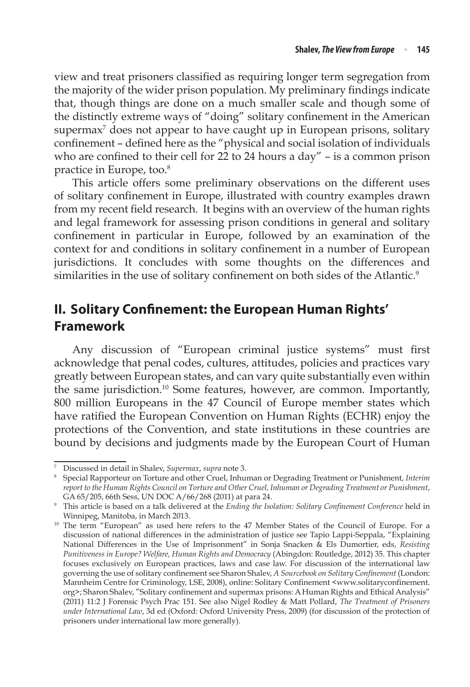view and treat prisoners classified as requiring longer term segregation from the majority of the wider prison population. My preliminary findings indicate that, though things are done on a much smaller scale and though some of the distinctly extreme ways of "doing" solitary confinement in the American supermax<sup>7</sup> does not appear to have caught up in European prisons, solitary confinement – defined here as the "physical and social isolation of individuals who are confined to their cell for 22 to 24 hours a day" – is a common prison practice in Europe, too.<sup>8</sup>

This article offers some preliminary observations on the different uses of solitary confinement in Europe, illustrated with country examples drawn from my recent field research. It begins with an overview of the human rights and legal framework for assessing prison conditions in general and solitary confinement in particular in Europe, followed by an examination of the context for and conditions in solitary confinement in a number of European jurisdictions. It concludes with some thoughts on the differences and similarities in the use of solitary confinement on both sides of the Atlantic.<sup>9</sup>

## **II. Solitary Confinement: the European Human Rights' Framework**

Any discussion of "European criminal justice systems" must first acknowledge that penal codes, cultures, attitudes, policies and practices vary greatly between European states, and can vary quite substantially even within the same jurisdiction.<sup>10</sup> Some features, however, are common. Importantly, 800 million Europeans in the 47 Council of Europe member states which have ratified the European Convention on Human Rights (ECHR) enjoy the protections of the Convention, and state institutions in these countries are bound by decisions and judgments made by the European Court of Human

<sup>7</sup> Discussed in detail in Shalev, *Supermax*, *supra* note 3.

<sup>8</sup> Special Rapporteur on Torture and other Cruel, Inhuman or Degrading Treatment or Punishment, *Interim report to the Human Rights Council on Torture and Other Cruel, Inhuman or Degrading Treatment or Punishment*, GA 65/205, 66th Sess, UN DOC A/66/268 (2011) at para 24.

<sup>9</sup> This article is based on a talk delivered at the *Ending the Isolation: Solitary Confinement Conference* held in Winnipeg, Manitoba, in March 2013.

<sup>&</sup>lt;sup>10</sup> The term "European" as used here refers to the 47 Member States of the Council of Europe. For a discussion of national differences in the administration of justice see Tapio Lappi-Seppala, "Explaining National Differences in the Use of Imprisonment" in Sonja Snacken & Els Dumortier, eds, *Resisting Punitiveness in Europe? Welfare, Human Rights and Democracy* (Abingdon: Routledge, 2012) 35. This chapter focuses exclusively on European practices, laws and case law. For discussion of the international law governing the use of solitary confinement see Sharon Shalev, *A Sourcebook on Solitary Confinement* (London: Mannheim Centre for Criminology, LSE, 2008), online: Solitary Confinement <www.solitaryconfinement. org>; Sharon Shalev, "Solitary confinement and supermax prisons: A Human Rights and Ethical Analysis" (2011) 11:2 J Forensic Psych Prac 151. See also Nigel Rodley & Matt Pollard, *The Treatment of Prisoners under International Law*, 3d ed (Oxford: Oxford University Press, 2009) (for discussion of the protection of prisoners under international law more generally).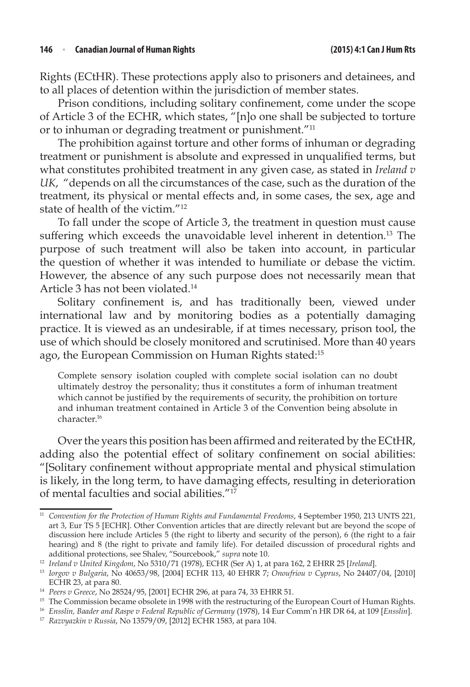Rights (ECtHR). These protections apply also to prisoners and detainees, and to all places of detention within the jurisdiction of member states.

Prison conditions, including solitary confinement, come under the scope of Article 3 of the ECHR, which states, "[n]o one shall be subjected to torture or to inhuman or degrading treatment or punishment."<sup>11</sup>

The prohibition against torture and other forms of inhuman or degrading treatment or punishment is absolute and expressed in unqualified terms, but what constitutes prohibited treatment in any given case, as stated in *Ireland v UK*, "depends on all the circumstances of the case, such as the duration of the treatment, its physical or mental effects and, in some cases, the sex, age and state of health of the victim."12

To fall under the scope of Article 3, the treatment in question must cause suffering which exceeds the unavoidable level inherent in detention.<sup>13</sup> The purpose of such treatment will also be taken into account, in particular the question of whether it was intended to humiliate or debase the victim. However, the absence of any such purpose does not necessarily mean that Article 3 has not been violated.<sup>14</sup>

Solitary confinement is, and has traditionally been, viewed under international law and by monitoring bodies as a potentially damaging practice. It is viewed as an undesirable, if at times necessary, prison tool, the use of which should be closely monitored and scrutinised. More than 40 years ago, the European Commission on Human Rights stated:15

Complete sensory isolation coupled with complete social isolation can no doubt ultimately destroy the personality; thus it constitutes a form of inhuman treatment which cannot be justified by the requirements of security, the prohibition on torture and inhuman treatment contained in Article 3 of the Convention being absolute in character.16

Over the years this position has been affirmed and reiterated by the ECtHR, adding also the potential effect of solitary confinement on social abilities: "[Solitary confinement without appropriate mental and physical stimulation is likely, in the long term, to have damaging effects, resulting in deterioration of mental faculties and social abilities."17

<sup>&</sup>lt;sup>11</sup> Convention for the Protection of Human Rights and Fundamental Freedoms, 4 September 1950, 213 UNTS 221, art 3, Eur TS 5 [ECHR]. Other Convention articles that are directly relevant but are beyond the scope of discussion here include Articles 5 (the right to liberty and security of the person), 6 (the right to a fair hearing) and 8 (the right to private and family life). For detailed discussion of procedural rights and additional protections, see Shalev, "Sourcebook," *supra* note 10.

<sup>&</sup>lt;sup>13</sup> Iorgov v Bulgaria, No 40653/98, [2004] ECHR 113, 40 EHRR 7; Onoufriou v Cyprus, No 24407/04, [2010] ECHR 23, at para 80. 14 *Peers v Greece*, No 28524/95, [2001] ECHR 296, at para 74, 33 EHRR 51.

<sup>&</sup>lt;sup>15</sup> The Commission became obsolete in 1998 with the restructuring of the European Court of Human Rights.

<sup>16</sup> *Ensslin, Baader and Raspe v Federal Republic of Germany* (1978), 14 Eur Comm'n HR DR 64, at 109 [*Ensslin*].

<sup>17</sup> *Razvyazkin v Russia*, No 13579/09, [2012] ECHR 1583, at para 104.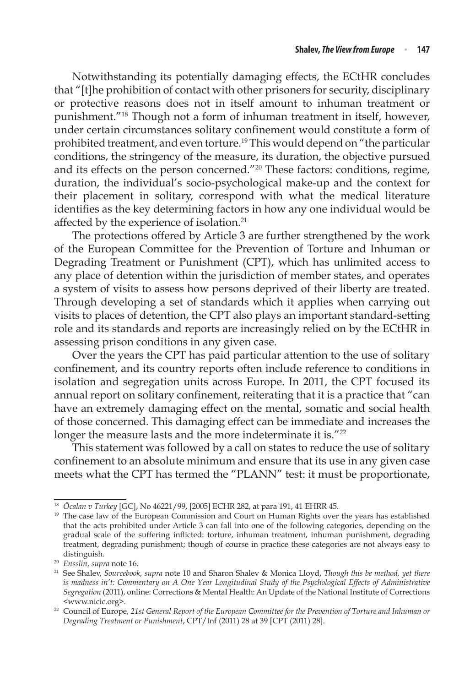Notwithstanding its potentially damaging effects, the ECtHR concludes that "[t]he prohibition of contact with other prisoners for security, disciplinary or protective reasons does not in itself amount to inhuman treatment or punishment."18 Though not a form of inhuman treatment in itself, however, under certain circumstances solitary confinement would constitute a form of prohibited treatment, and even torture.19 This would depend on "the particular conditions, the stringency of the measure, its duration, the objective pursued and its effects on the person concerned."20 These factors: conditions, regime, duration, the individual's socio-psychological make-up and the context for their placement in solitary, correspond with what the medical literature identifies as the key determining factors in how any one individual would be affected by the experience of isolation.<sup>21</sup>

The protections offered by Article 3 are further strengthened by the work of the European Committee for the Prevention of Torture and Inhuman or Degrading Treatment or Punishment (CPT), which has unlimited access to any place of detention within the jurisdiction of member states, and operates a system of visits to assess how persons deprived of their liberty are treated. Through developing a set of standards which it applies when carrying out visits to places of detention, the CPT also plays an important standard-setting role and its standards and reports are increasingly relied on by the ECtHR in assessing prison conditions in any given case.

Over the years the CPT has paid particular attention to the use of solitary confinement, and its country reports often include reference to conditions in isolation and segregation units across Europe. In 2011, the CPT focused its annual report on solitary confinement, reiterating that it is a practice that "can have an extremely damaging effect on the mental, somatic and social health of those concerned. This damaging effect can be immediate and increases the longer the measure lasts and the more indeterminate it is."<sup>22</sup>

This statement was followed by a call on states to reduce the use of solitary confinement to an absolute minimum and ensure that its use in any given case meets what the CPT has termed the "PLANN" test: it must be proportionate,

<sup>18</sup> *Öcalan v Turkey* [GC], No 46221/99, [2005] ECHR 282, at para 191, 41 EHRR 45.

<sup>&</sup>lt;sup>19</sup> The case law of the European Commission and Court on Human Rights over the years has established that the acts prohibited under Article 3 can fall into one of the following categories, depending on the gradual scale of the suffering inflicted: torture, inhuman treatment, inhuman punishment, degrading treatment, degrading punishment; though of course in practice these categories are not always easy to

distinguish.<br><sup>20</sup> Ensslin, supra note 16.

<sup>20</sup> *Ensslin*, *supra* note 16. 21 See Shalev, *Sourcebook*, *supra* note 10 and Sharon Shalev & Monica Lloyd, *Though this be method, yet there is madness in't: Commentary on A One Year Longitudinal Study of the Psychological Effects of Administrative Segregation* (2011), online: Corrections & Mental Health: An Update of the National Institute of Corrections <www.nicic.org>.

<sup>&</sup>lt;sup>22</sup> Council of Europe, 21st General Report of the European Committee for the Prevention of Torture and Inhuman or *Degrading Treatment or Punishment*, CPT/Inf (2011) 28 at 39 [CPT (2011) 28].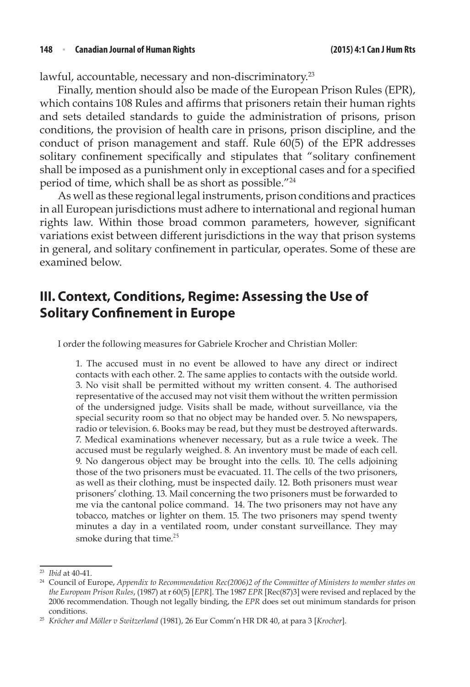lawful, accountable, necessary and non-discriminatory.<sup>23</sup>

Finally, mention should also be made of the European Prison Rules (EPR), which contains 108 Rules and affirms that prisoners retain their human rights and sets detailed standards to guide the administration of prisons, prison conditions, the provision of health care in prisons, prison discipline, and the conduct of prison management and staff. Rule 60(5) of the EPR addresses solitary confinement specifically and stipulates that "solitary confinement shall be imposed as a punishment only in exceptional cases and for a specified period of time, which shall be as short as possible."24

As well as these regional legal instruments, prison conditions and practices in all European jurisdictions must adhere to international and regional human rights law. Within those broad common parameters, however, significant variations exist between different jurisdictions in the way that prison systems in general, and solitary confinement in particular, operates. Some of these are examined below.

## **III. Context, Conditions, Regime: Assessing the Use of Solitary Confinement in Europe**

I order the following measures for Gabriele Krocher and Christian Moller:

1. The accused must in no event be allowed to have any direct or indirect contacts with each other. 2. The same applies to contacts with the outside world. 3. No visit shall be permitted without my written consent. 4. The authorised representative of the accused may not visit them without the written permission of the undersigned judge. Visits shall be made, without surveillance, via the special security room so that no object may be handed over. 5. No newspapers, radio or television. 6. Books may be read, but they must be destroyed afterwards. 7. Medical examinations whenever necessary, but as a rule twice a week. The accused must be regularly weighed. 8. An inventory must be made of each cell. 9. No dangerous object may be brought into the cells. 10. The cells adjoining those of the two prisoners must be evacuated. 11. The cells of the two prisoners, as well as their clothing, must be inspected daily. 12. Both prisoners must wear prisoners' clothing. 13. Mail concerning the two prisoners must be forwarded to me via the cantonal police command. 14. The two prisoners may not have any tobacco, matches or lighter on them. 15. The two prisoners may spend twenty minutes a day in a ventilated room, under constant surveillance. They may smoke during that time.<sup>25</sup>

<sup>&</sup>lt;sup>23</sup> *Ibid* at 40-41.<br><sup>24</sup> Council of Europe, *Appendix to Recommendation Rec(2006)2 of the Committee of Ministers to member states on the European Prison Rules*, (1987) at r 60(5) [*EPR*]. The 1987 *EPR* [Rec(87)3] were revised and replaced by the 2006 recommendation. Though not legally binding, the *EPR* does set out minimum standards for prison conditions. 25 *Kröcher and Möller v Switzerland* (1981), 26 Eur Comm'n HR DR 40, at para 3 [*Krocher*].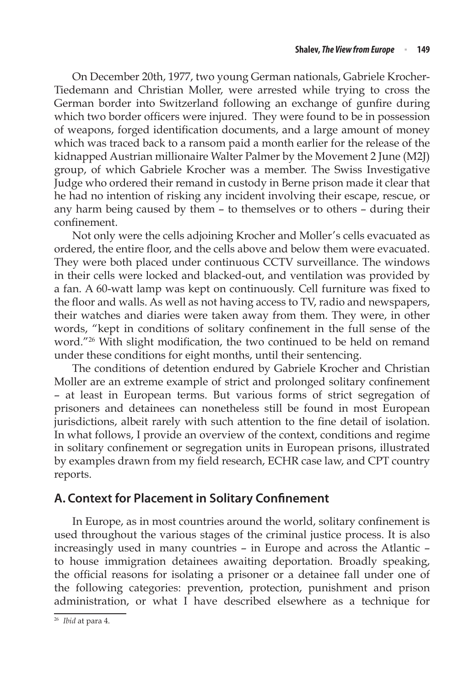On December 20th, 1977, two young German nationals, Gabriele Krocher-Tiedemann and Christian Moller, were arrested while trying to cross the German border into Switzerland following an exchange of gunfire during which two border officers were injured. They were found to be in possession of weapons, forged identification documents, and a large amount of money which was traced back to a ransom paid a month earlier for the release of the kidnapped Austrian millionaire Walter Palmer by the Movement 2 June (M2J) group, of which Gabriele Krocher was a member. The Swiss Investigative Judge who ordered their remand in custody in Berne prison made it clear that he had no intention of risking any incident involving their escape, rescue, or any harm being caused by them – to themselves or to others – during their confinement.

Not only were the cells adjoining Krocher and Moller's cells evacuated as ordered, the entire floor, and the cells above and below them were evacuated. They were both placed under continuous CCTV surveillance. The windows in their cells were locked and blacked-out, and ventilation was provided by a fan. A 60-watt lamp was kept on continuously. Cell furniture was fixed to the floor and walls. As well as not having access to TV, radio and newspapers, their watches and diaries were taken away from them. They were, in other words, "kept in conditions of solitary confinement in the full sense of the word."26 With slight modification, the two continued to be held on remand under these conditions for eight months, until their sentencing.

The conditions of detention endured by Gabriele Krocher and Christian Moller are an extreme example of strict and prolonged solitary confinement – at least in European terms. But various forms of strict segregation of prisoners and detainees can nonetheless still be found in most European jurisdictions, albeit rarely with such attention to the fine detail of isolation. In what follows, I provide an overview of the context, conditions and regime in solitary confinement or segregation units in European prisons, illustrated by examples drawn from my field research, ECHR case law, and CPT country reports.

### **A. Context for Placement in Solitary Confinement**

In Europe, as in most countries around the world, solitary confinement is used throughout the various stages of the criminal justice process. It is also increasingly used in many countries – in Europe and across the Atlantic – to house immigration detainees awaiting deportation. Broadly speaking, the official reasons for isolating a prisoner or a detainee fall under one of the following categories: prevention, protection, punishment and prison administration, or what I have described elsewhere as a technique for

<sup>26</sup> *Ibid* at para 4.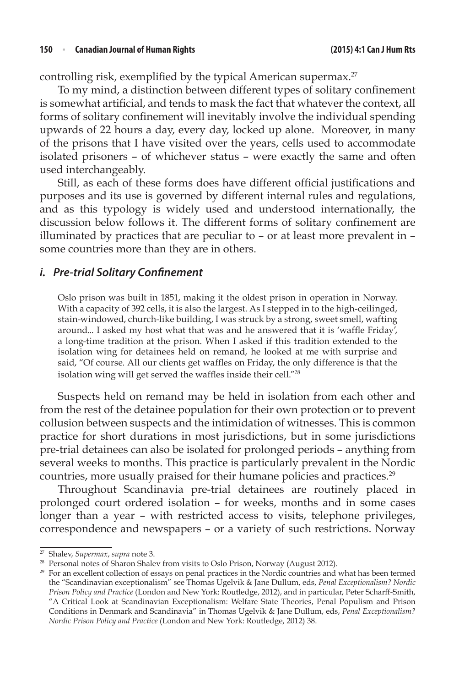controlling risk, exemplified by the typical American supermax.<sup>27</sup>

To my mind, a distinction between different types of solitary confinement is somewhat artificial, and tends to mask the fact that whatever the context, all forms of solitary confinement will inevitably involve the individual spending upwards of 22 hours a day, every day, locked up alone. Moreover, in many of the prisons that I have visited over the years, cells used to accommodate isolated prisoners – of whichever status – were exactly the same and often used interchangeably.

Still, as each of these forms does have different official justifications and purposes and its use is governed by different internal rules and regulations, and as this typology is widely used and understood internationally, the discussion below follows it. The different forms of solitary confinement are illuminated by practices that are peculiar to – or at least more prevalent in – some countries more than they are in others.

### *i. Pre-trial Solitary Confinement*

Oslo prison was built in 1851, making it the oldest prison in operation in Norway. With a capacity of 392 cells, it is also the largest. As I stepped in to the high-ceilinged, stain-windowed, church-like building, I was struck by a strong, sweet smell, wafting around... I asked my host what that was and he answered that it is 'waffle Friday', a long-time tradition at the prison. When I asked if this tradition extended to the isolation wing for detainees held on remand, he looked at me with surprise and said, "Of course. All our clients get waffles on Friday, the only difference is that the isolation wing will get served the waffles inside their cell."<sup>28</sup>

Suspects held on remand may be held in isolation from each other and from the rest of the detainee population for their own protection or to prevent collusion between suspects and the intimidation of witnesses. This is common practice for short durations in most jurisdictions, but in some jurisdictions pre-trial detainees can also be isolated for prolonged periods – anything from several weeks to months. This practice is particularly prevalent in the Nordic countries, more usually praised for their humane policies and practices.<sup>29</sup>

Throughout Scandinavia pre-trial detainees are routinely placed in prolonged court ordered isolation – for weeks, months and in some cases longer than a year – with restricted access to visits, telephone privileges, correspondence and newspapers – or a variety of such restrictions. Norway

<sup>27</sup> Shalev, *Supermax*, *supra* note 3.

<sup>&</sup>lt;sup>28</sup> Personal notes of Sharon Shalev from visits to Oslo Prison, Norway (August 2012).

<sup>&</sup>lt;sup>29</sup> For an excellent collection of essays on penal practices in the Nordic countries and what has been termed the "Scandinavian exceptionalism" see Thomas Ugelvik & Jane Dullum, eds, *Penal Exceptionalism? Nordic Prison Policy and Practice* (London and New York: Routledge, 2012), and in particular, Peter Scharff-Smith, "A Critical Look at Scandinavian Exceptionalism: Welfare State Theories, Penal Populism and Prison Conditions in Denmark and Scandinavia" in Thomas Ugelvik & Jane Dullum, eds, *Penal Exceptionalism? Nordic Prison Policy and Practice* (London and New York: Routledge, 2012) 38.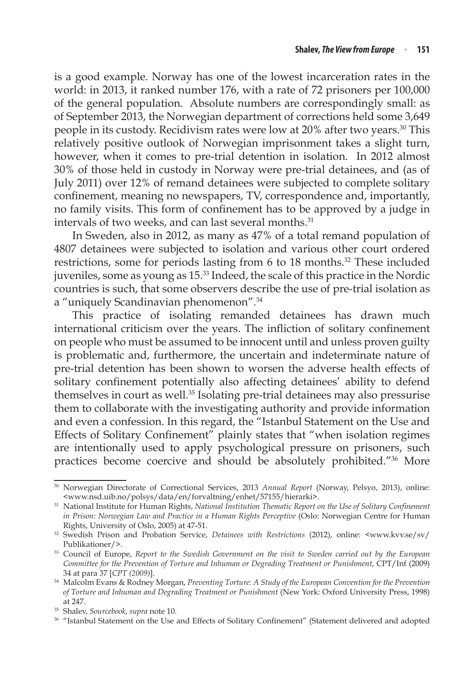is a good example. Norway has one of the lowest incarceration rates in the world: in 2013, it ranked number 176, with a rate of 72 prisoners per 100,000 of the general population. Absolute numbers are correspondingly small: as of September 2013, the Norwegian department of corrections held some 3,649 people in its custody. Recidivism rates were low at 20% after two years.30 This relatively positive outlook of Norwegian imprisonment takes a slight turn, however, when it comes to pre-trial detention in isolation. In 2012 almost 30% of those held in custody in Norway were pre-trial detainees, and (as of July 2011) over 12% of remand detainees were subjected to complete solitary confinement, meaning no newspapers, TV, correspondence and, importantly, no family visits. This form of confinement has to be approved by a judge in intervals of two weeks, and can last several months.<sup>31</sup>

In Sweden, also in 2012, as many as 47% of a total remand population of 4807 detainees were subjected to isolation and various other court ordered restrictions, some for periods lasting from 6 to 18 months.<sup>32</sup> These included juveniles, some as young as 15.33 Indeed, the scale of this practice in the Nordic countries is such, that some observers describe the use of pre-trial isolation as a "uniquely Scandinavian phenomenon".34

This practice of isolating remanded detainees has drawn much international criticism over the years. The infliction of solitary confinement on people who must be assumed to be innocent until and unless proven guilty is problematic and, furthermore, the uncertain and indeterminate nature of pre-trial detention has been shown to worsen the adverse health effects of solitary confinement potentially also affecting detainees' ability to defend themselves in court as well.<sup>35</sup> Isolating pre-trial detainees may also pressurise them to collaborate with the investigating authority and provide information and even a confession. In this regard, the "Istanbul Statement on the Use and Effects of Solitary Confinement" plainly states that "when isolation regimes are intentionally used to apply psychological pressure on prisoners, such practices become coercive and should be absolutely prohibited."36 More

<sup>30</sup> Norwegian Directorate of Correctional Services, 2013 *Annual Report* (Norway, Pelsyo, 2013), online: <www.nsd.uib.no/polsys/data/en/forvaltning/enhet/57155/hierarki>.

<sup>31</sup> National Institute for Human Rights, *National Institution Thematic Report on the Use of Solitary Confinement in Prison: Norwegian Law and Practice in a Human Rights Perceptive* (Oslo: Norwegian Centre for Human Rights, University of Oslo, 2005) at 47-51.

<sup>32</sup> Swedish Prison and Probation Service, *Detainees with Restrictions* (2012), online: <www.kvv.se/sv/ Publikationer/>.

<sup>33</sup> Council of Europe, *Report to the Swedish Government on the visit to Sweden carried out by the European Committee for the Prevention of Torture and Inhuman or Degrading Treatment or Punishment*, CPT/Inf (2009) 34 at para 37 [*CPT (2009)*].

<sup>34</sup> Malcolm Evans & Rodney Morgan, *Preventing Torture: A Study of the European Convention for the Prevention of Torture and Inhuman and Degrading Treatment or Punishment* (New York: Oxford University Press, 1998) at 247.

<sup>35</sup> Shalev, *Sourcebook*, *supra* note 10.

<sup>36</sup> "Istanbul Statement on the Use and Effects of Solitary Confinement" (Statement delivered and adopted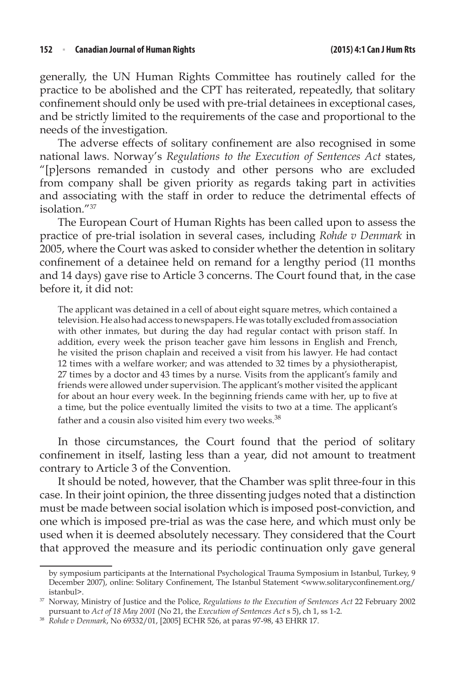generally, the UN Human Rights Committee has routinely called for the practice to be abolished and the CPT has reiterated, repeatedly, that solitary confinement should only be used with pre-trial detainees in exceptional cases, and be strictly limited to the requirements of the case and proportional to the needs of the investigation.

The adverse effects of solitary confinement are also recognised in some national laws. Norway's *Regulations to the Execution of Sentences Act* states, "[p]ersons remanded in custody and other persons who are excluded from company shall be given priority as regards taking part in activities and associating with the staff in order to reduce the detrimental effects of isolation."37

The European Court of Human Rights has been called upon to assess the practice of pre-trial isolation in several cases, including *Rohde v Denmark* in 2005, where the Court was asked to consider whether the detention in solitary confinement of a detainee held on remand for a lengthy period (11 months and 14 days) gave rise to Article 3 concerns. The Court found that, in the case before it, it did not:

The applicant was detained in a cell of about eight square metres, which contained a television. He also had access to newspapers. He was totally excluded from association with other inmates, but during the day had regular contact with prison staff. In addition, every week the prison teacher gave him lessons in English and French, he visited the prison chaplain and received a visit from his lawyer. He had contact 12 times with a welfare worker; and was attended to 32 times by a physiotherapist, 27 times by a doctor and 43 times by a nurse. Visits from the applicant's family and friends were allowed under supervision. The applicant's mother visited the applicant for about an hour every week. In the beginning friends came with her, up to five at a time, but the police eventually limited the visits to two at a time. The applicant's father and a cousin also visited him every two weeks. $^{38}$ 

In those circumstances, the Court found that the period of solitary confinement in itself, lasting less than a year, did not amount to treatment contrary to Article 3 of the Convention.

It should be noted, however, that the Chamber was split three-four in this case. In their joint opinion, the three dissenting judges noted that a distinction must be made between social isolation which is imposed post-conviction, and one which is imposed pre-trial as was the case here, and which must only be used when it is deemed absolutely necessary. They considered that the Court that approved the measure and its periodic continuation only gave general

by symposium participants at the International Psychological Trauma Symposium in Istanbul, Turkey, 9 December 2007), online: Solitary Confinement, The Istanbul Statement <www.solitaryconfinement.org/ istanbul>.

<sup>37</sup> Norway, Ministry of Justice and the Police, *Regulations to the Execution of Sentences Act* 22 February 2002 pursuant to *Act of 18 May 2001* (No 21, the *Execution of Sentences Act* s 5), ch 1, ss 1-2.

<sup>38</sup> *Rohde v Denmark*, No 69332/01, [2005] ECHR 526, at paras 97-98, 43 EHRR 17.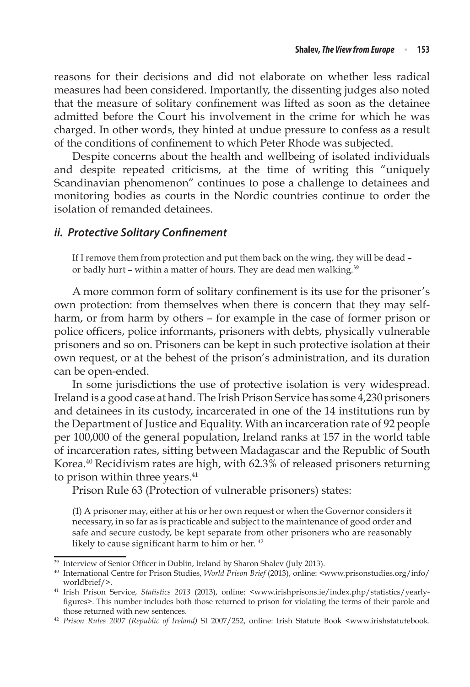reasons for their decisions and did not elaborate on whether less radical measures had been considered. Importantly, the dissenting judges also noted that the measure of solitary confinement was lifted as soon as the detainee admitted before the Court his involvement in the crime for which he was charged. In other words, they hinted at undue pressure to confess as a result of the conditions of confinement to which Peter Rhode was subjected.

Despite concerns about the health and wellbeing of isolated individuals and despite repeated criticisms, at the time of writing this "uniquely Scandinavian phenomenon" continues to pose a challenge to detainees and monitoring bodies as courts in the Nordic countries continue to order the isolation of remanded detainees.

#### *ii. Protective Solitary Confinement*

If I remove them from protection and put them back on the wing, they will be dead – or badly hurt – within a matter of hours. They are dead men walking.<sup>39</sup>

A more common form of solitary confinement is its use for the prisoner's own protection: from themselves when there is concern that they may selfharm, or from harm by others – for example in the case of former prison or police officers, police informants, prisoners with debts, physically vulnerable prisoners and so on. Prisoners can be kept in such protective isolation at their own request, or at the behest of the prison's administration, and its duration can be open-ended.

In some jurisdictions the use of protective isolation is very widespread. Ireland is a good case at hand. The Irish Prison Service has some 4,230 prisoners and detainees in its custody, incarcerated in one of the 14 institutions run by the Department of Justice and Equality. With an incarceration rate of 92 people per 100,000 of the general population, Ireland ranks at 157 in the world table of incarceration rates, sitting between Madagascar and the Republic of South Korea.40 Recidivism rates are high, with 62.3% of released prisoners returning to prison within three years.<sup>41</sup>

Prison Rule 63 (Protection of vulnerable prisoners) states:

(1) A prisoner may, either at his or her own request or when the Governor considers it necessary, in so far as is practicable and subject to the maintenance of good order and safe and secure custody, be kept separate from other prisoners who are reasonably likely to cause significant harm to him or her.<sup>42</sup>

<sup>&</sup>lt;sup>39</sup> Interview of Senior Officer in Dublin, Ireland by Sharon Shalev (July 2013).

<sup>40</sup> International Centre for Prison Studies, *World Prison Brief* (2013), online: <www.prisonstudies.org/info/ worldbrief/>.

<sup>41</sup> Irish Prison Service, *Statistics 2013* (2013), online: <www.irishprisons.ie/index.php/statistics/yearlyfigures>. This number includes both those returned to prison for violating the terms of their parole and those returned with new sentences. 42 *Prison Rules 2007 (Republic of Ireland)* SI 2007/252, online: Irish Statute Book <www.irishstatutebook.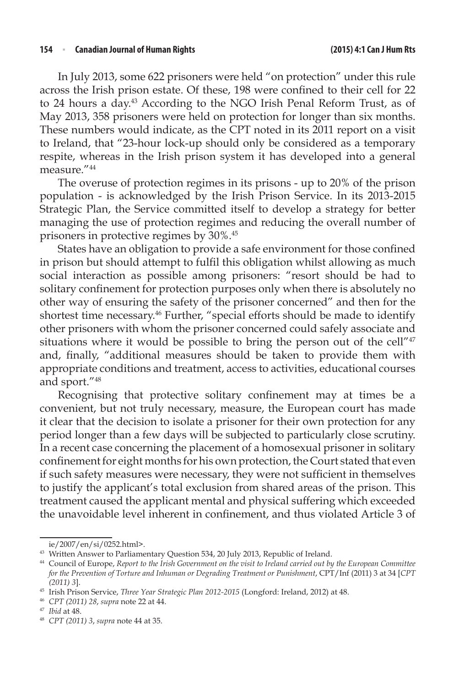In July 2013, some 622 prisoners were held "on protection" under this rule across the Irish prison estate. Of these, 198 were confined to their cell for 22 to 24 hours a day.<sup>43</sup> According to the NGO Irish Penal Reform Trust, as of May 2013, 358 prisoners were held on protection for longer than six months. These numbers would indicate, as the CPT noted in its 2011 report on a visit to Ireland, that "23-hour lock-up should only be considered as a temporary respite, whereas in the Irish prison system it has developed into a general measure."44

The overuse of protection regimes in its prisons - up to 20% of the prison population - is acknowledged by the Irish Prison Service. In its 2013-2015 Strategic Plan, the Service committed itself to develop a strategy for better managing the use of protection regimes and reducing the overall number of prisoners in protective regimes by 30%.45

States have an obligation to provide a safe environment for those confined in prison but should attempt to fulfil this obligation whilst allowing as much social interaction as possible among prisoners: "resort should be had to solitary confinement for protection purposes only when there is absolutely no other way of ensuring the safety of the prisoner concerned" and then for the shortest time necessary.<sup>46</sup> Further, "special efforts should be made to identify other prisoners with whom the prisoner concerned could safely associate and situations where it would be possible to bring the person out of the cell"<sup>47</sup> and, finally, "additional measures should be taken to provide them with appropriate conditions and treatment, access to activities, educational courses and sport."48

Recognising that protective solitary confinement may at times be a convenient, but not truly necessary, measure, the European court has made it clear that the decision to isolate a prisoner for their own protection for any period longer than a few days will be subjected to particularly close scrutiny. In a recent case concerning the placement of a homosexual prisoner in solitary confinement for eight months for his own protection, the Court stated that even if such safety measures were necessary, they were not sufficient in themselves to justify the applicant's total exclusion from shared areas of the prison. This treatment caused the applicant mental and physical suffering which exceeded the unavoidable level inherent in confinement, and thus violated Article 3 of

ie/2007/en/si/0252.html>.

<sup>&</sup>lt;sup>43</sup> Written Answer to Parliamentary Question 534, 20 July 2013, Republic of Ireland.

<sup>44</sup> Council of Europe, *Report to the Irish Government on the visit to Ireland carried out by the European Committee for the Prevention of Torture and Inhuman or Degrading Treatment or Punishment*, CPT/Inf (2011) 3 at 34 [CPT *(2011) 3*].

<sup>45</sup> Irish Prison Service, *Three Year Strategic Plan 2012-2015* (Longford: Ireland, 2012) at 48.

<sup>46</sup> *CPT (2011) 28*, *supra* note 22 at 44.

<sup>47</sup> *Ibid* at 48.

<sup>48</sup> *CPT (2011) 3*, *supra* note 44 at 35.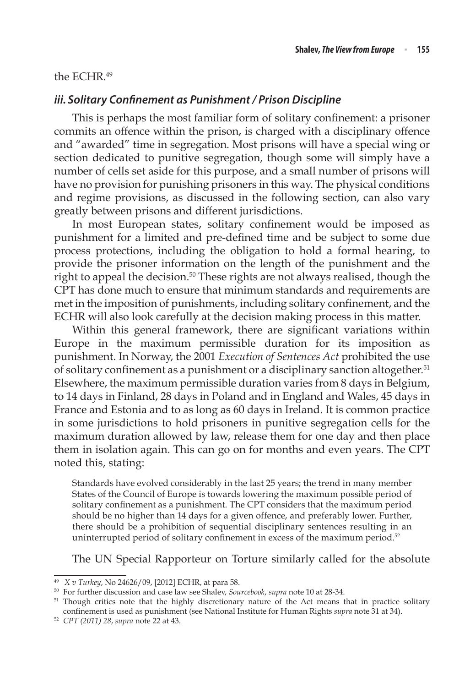#### the ECHR.49

### *iii. Solitary Confinement as Punishment / Prison Discipline*

This is perhaps the most familiar form of solitary confinement: a prisoner commits an offence within the prison, is charged with a disciplinary offence and "awarded" time in segregation. Most prisons will have a special wing or section dedicated to punitive segregation, though some will simply have a number of cells set aside for this purpose, and a small number of prisons will have no provision for punishing prisoners in this way. The physical conditions and regime provisions, as discussed in the following section, can also vary greatly between prisons and different jurisdictions.

In most European states, solitary confinement would be imposed as punishment for a limited and pre-defined time and be subject to some due process protections, including the obligation to hold a formal hearing, to provide the prisoner information on the length of the punishment and the right to appeal the decision.<sup>50</sup> These rights are not always realised, though the CPT has done much to ensure that minimum standards and requirements are met in the imposition of punishments, including solitary confinement, and the ECHR will also look carefully at the decision making process in this matter.

Within this general framework, there are significant variations within Europe in the maximum permissible duration for its imposition as punishment. In Norway, the 2001 *Execution of Sentences Act* prohibited the use of solitary confinement as a punishment or a disciplinary sanction altogether.<sup>51</sup> Elsewhere, the maximum permissible duration varies from 8 days in Belgium, to 14 days in Finland, 28 days in Poland and in England and Wales, 45 days in France and Estonia and to as long as 60 days in Ireland. It is common practice in some jurisdictions to hold prisoners in punitive segregation cells for the maximum duration allowed by law, release them for one day and then place them in isolation again. This can go on for months and even years. The CPT noted this, stating:

Standards have evolved considerably in the last 25 years; the trend in many member States of the Council of Europe is towards lowering the maximum possible period of solitary confinement as a punishment. The CPT considers that the maximum period should be no higher than 14 days for a given offence, and preferably lower. Further, there should be a prohibition of sequential disciplinary sentences resulting in an uninterrupted period of solitary confinement in excess of the maximum period.<sup>52</sup>

The UN Special Rapporteur on Torture similarly called for the absolute

<sup>49</sup> *X v Turkey*, No 24626/09, [2012] ECHR, at para 58.

<sup>50</sup> For further discussion and case law see Shalev, *Sourcebook*, *supra* note 10 at 28-34.

<sup>&</sup>lt;sup>51</sup> Though critics note that the highly discretionary nature of the Act means that in practice solitary confinement is used as punishment (see National Institute for Human Rights *supra* note 31 at 34).

<sup>52</sup> *CPT (2011) 28*, *supra* note 22 at 43.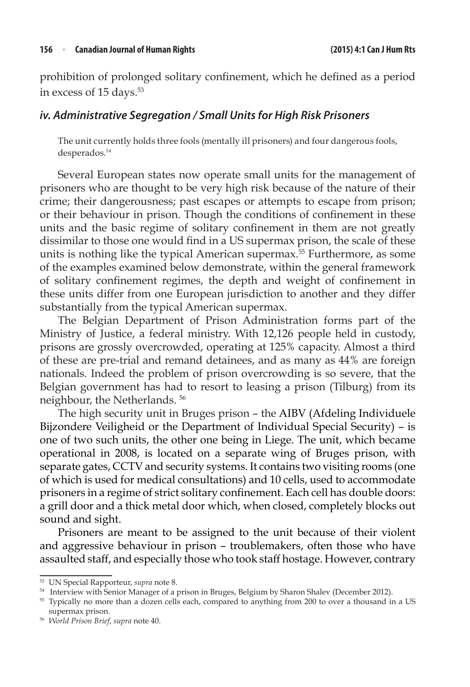prohibition of prolonged solitary confinement, which he defined as a period in excess of 15 days.<sup>53</sup>

### *iv. Administrative Segregation / Small Units for High Risk Prisoners*

The unit currently holds three fools (mentally ill prisoners) and four dangerous fools, desperados.<sup>54</sup>

Several European states now operate small units for the management of prisoners who are thought to be very high risk because of the nature of their crime; their dangerousness; past escapes or attempts to escape from prison; or their behaviour in prison. Though the conditions of confinement in these units and the basic regime of solitary confinement in them are not greatly dissimilar to those one would find in a US supermax prison, the scale of these units is nothing like the typical American supermax.<sup>55</sup> Furthermore, as some of the examples examined below demonstrate, within the general framework of solitary confinement regimes, the depth and weight of confinement in these units differ from one European jurisdiction to another and they differ substantially from the typical American supermax.

The Belgian Department of Prison Administration forms part of the Ministry of Justice, a federal ministry. With 12,126 people held in custody, prisons are grossly overcrowded, operating at 125% capacity. Almost a third of these are pre-trial and remand detainees, and as many as 44% are foreign nationals. Indeed the problem of prison overcrowding is so severe, that the Belgian government has had to resort to leasing a prison (Tilburg) from its neighbour, the Netherlands. 56

The high security unit in Bruges prison – the AIBV (Afdeling Individuele Bijzondere Veiligheid or the Department of Individual Special Security) – is one of two such units, the other one being in Liege. The unit, which became operational in 2008, is located on a separate wing of Bruges prison, with separate gates, CCTV and security systems. It contains two visiting rooms (one of which is used for medical consultations) and 10 cells, used to accommodate prisoners in a regime of strict solitary confinement. Each cell has double doors: a grill door and a thick metal door which, when closed, completely blocks out sound and sight.

Prisoners are meant to be assigned to the unit because of their violent and aggressive behaviour in prison – troublemakers, often those who have assaulted staff, and especially those who took staff hostage. However, contrary

<sup>53</sup> UN Special Rapporteur, *supra* note 8.

<sup>&</sup>lt;sup>54</sup> Interview with Senior Manager of a prison in Bruges, Belgium by Sharon Shalev (December 2012).

<sup>&</sup>lt;sup>55</sup> Typically no more than a dozen cells each, compared to anything from 200 to over a thousand in a US supermax prison. 56 *World Prison Brief*, *supra* note 40.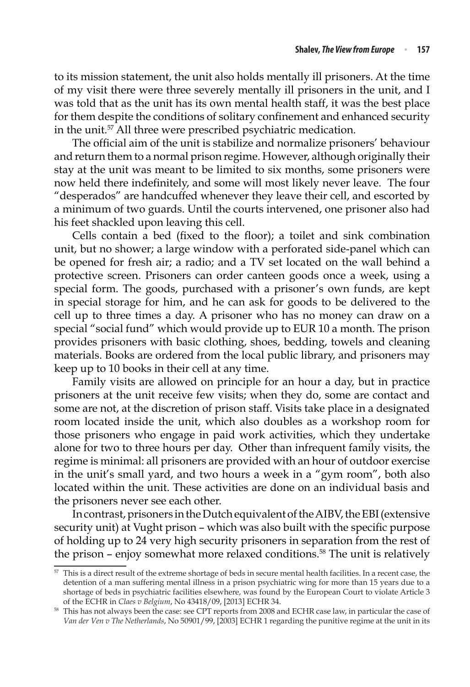to its mission statement, the unit also holds mentally ill prisoners. At the time of my visit there were three severely mentally ill prisoners in the unit, and I was told that as the unit has its own mental health staff, it was the best place for them despite the conditions of solitary confinement and enhanced security in the unit.57 All three were prescribed psychiatric medication.

The official aim of the unit is stabilize and normalize prisoners' behaviour and return them to a normal prison regime. However, although originally their stay at the unit was meant to be limited to six months, some prisoners were now held there indefinitely, and some will most likely never leave. The four "desperados" are handcuffed whenever they leave their cell, and escorted by a minimum of two guards. Until the courts intervened, one prisoner also had his feet shackled upon leaving this cell.

Cells contain a bed (fixed to the floor); a toilet and sink combination unit, but no shower; a large window with a perforated side-panel which can be opened for fresh air; a radio; and a TV set located on the wall behind a protective screen. Prisoners can order canteen goods once a week, using a special form. The goods, purchased with a prisoner's own funds, are kept in special storage for him, and he can ask for goods to be delivered to the cell up to three times a day. A prisoner who has no money can draw on a special "social fund" which would provide up to EUR 10 a month. The prison provides prisoners with basic clothing, shoes, bedding, towels and cleaning materials. Books are ordered from the local public library, and prisoners may keep up to 10 books in their cell at any time.

Family visits are allowed on principle for an hour a day, but in practice prisoners at the unit receive few visits; when they do, some are contact and some are not, at the discretion of prison staff. Visits take place in a designated room located inside the unit, which also doubles as a workshop room for those prisoners who engage in paid work activities, which they undertake alone for two to three hours per day. Other than infrequent family visits, the regime is minimal: all prisoners are provided with an hour of outdoor exercise in the unit's small yard, and two hours a week in a "gym room", both also located within the unit. These activities are done on an individual basis and the prisoners never see each other.

In contrast, prisoners in the Dutch equivalent of the AIBV, the EBI (extensive security unit) at Vught prison – which was also built with the specific purpose of holding up to 24 very high security prisoners in separation from the rest of the prison – enjoy somewhat more relaxed conditions.<sup>58</sup> The unit is relatively

<sup>&</sup>lt;sup>57</sup> This is a direct result of the extreme shortage of beds in secure mental health facilities. In a recent case, the detention of a man suffering mental illness in a prison psychiatric wing for more than 15 years due to a shortage of beds in psychiatric facilities elsewhere, was found by the European Court to violate Article 3 of the ECHR in *Claes v Belgium*, No 43418/09, [2013] ECHR 34.

<sup>58</sup> This has not always been the case: see CPT reports from 2008 and ECHR case law, in particular the case of *Van der Ven v The Netherlands*, No 50901/99, [2003] ECHR 1 regarding the punitive regime at the unit in its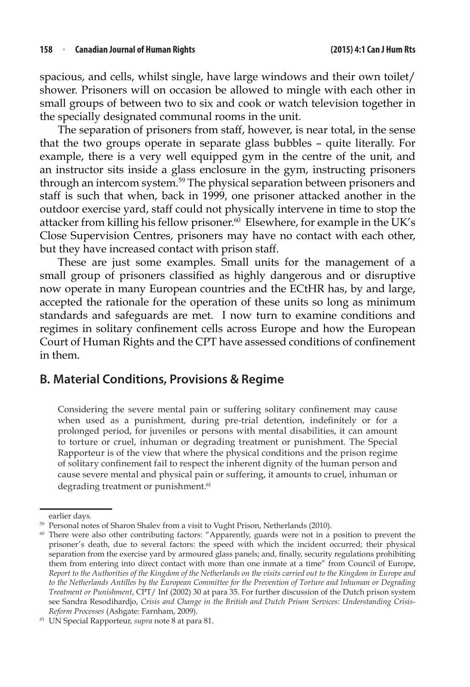spacious, and cells, whilst single, have large windows and their own toilet/ shower. Prisoners will on occasion be allowed to mingle with each other in small groups of between two to six and cook or watch television together in the specially designated communal rooms in the unit.

The separation of prisoners from staff, however, is near total, in the sense that the two groups operate in separate glass bubbles – quite literally. For example, there is a very well equipped gym in the centre of the unit, and an instructor sits inside a glass enclosure in the gym, instructing prisoners through an intercom system.59 The physical separation between prisoners and staff is such that when, back in 1999, one prisoner attacked another in the outdoor exercise yard, staff could not physically intervene in time to stop the attacker from killing his fellow prisoner.<sup>60</sup> Elsewhere, for example in the UK's Close Supervision Centres, prisoners may have no contact with each other, but they have increased contact with prison staff.

These are just some examples. Small units for the management of a small group of prisoners classified as highly dangerous and or disruptive now operate in many European countries and the ECtHR has, by and large, accepted the rationale for the operation of these units so long as minimum standards and safeguards are met. I now turn to examine conditions and regimes in solitary confinement cells across Europe and how the European Court of Human Rights and the CPT have assessed conditions of confinement in them.

### **B. Material Conditions, Provisions & Regime**

Considering the severe mental pain or suffering solitary confinement may cause when used as a punishment, during pre-trial detention, indefinitely or for a prolonged period, for juveniles or persons with mental disabilities, it can amount to torture or cruel, inhuman or degrading treatment or punishment. The Special Rapporteur is of the view that where the physical conditions and the prison regime of solitary confinement fail to respect the inherent dignity of the human person and cause severe mental and physical pain or suffering, it amounts to cruel, inhuman or degrading treatment or punishment.<sup>61</sup>

earlier days.

<sup>&</sup>lt;sup>59</sup> Personal notes of Sharon Shalev from a visit to Vught Prison, Netherlands (2010).

<sup>&</sup>lt;sup>60</sup> There were also other contributing factors: "Apparently, guards were not in a position to prevent the prisoner's death, due to several factors: the speed with which the incident occurred; their physical separation from the exercise yard by armoured glass panels; and, finally, security regulations prohibiting them from entering into direct contact with more than one inmate at a time" from Council of Europe, *Report to the Authorities of the Kingdom of the Netherlands on the visits carried out to the Kingdom in Europe and to the Netherlands Antilles by the European Committee for the Prevention of Torture and Inhuman or Degrading Treatment or Punishment*, CPT/ Inf (2002) 30 at para 35. For further discussion of the Dutch prison system see Sandra Resodihardjo, *Crisis and Change in the British and Dutch Prison Services: Understanding Crisis-Reform Processes* (Ashgate: Farnham, 2009).

<sup>61</sup> UN Special Rapporteur, *supra* note 8 at para 81.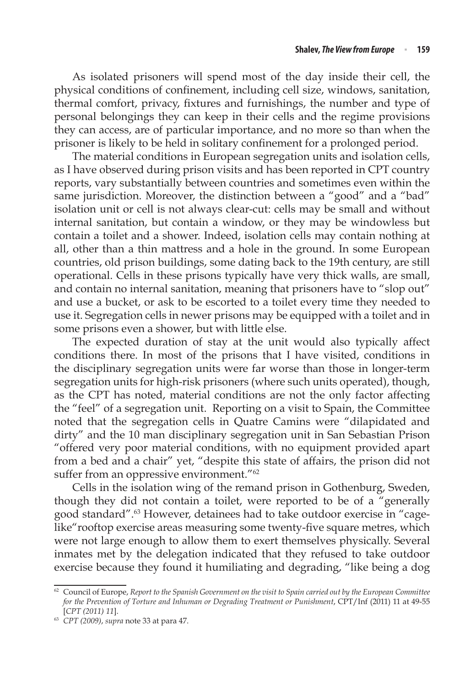As isolated prisoners will spend most of the day inside their cell, the physical conditions of confinement, including cell size, windows, sanitation, thermal comfort, privacy, fixtures and furnishings, the number and type of personal belongings they can keep in their cells and the regime provisions they can access, are of particular importance, and no more so than when the prisoner is likely to be held in solitary confinement for a prolonged period.

The material conditions in European segregation units and isolation cells, as I have observed during prison visits and has been reported in CPT country reports, vary substantially between countries and sometimes even within the same jurisdiction. Moreover, the distinction between a "good" and a "bad" isolation unit or cell is not always clear-cut: cells may be small and without internal sanitation, but contain a window, or they may be windowless but contain a toilet and a shower. Indeed, isolation cells may contain nothing at all, other than a thin mattress and a hole in the ground. In some European countries, old prison buildings, some dating back to the 19th century, are still operational. Cells in these prisons typically have very thick walls, are small, and contain no internal sanitation, meaning that prisoners have to "slop out" and use a bucket, or ask to be escorted to a toilet every time they needed to use it. Segregation cells in newer prisons may be equipped with a toilet and in some prisons even a shower, but with little else.

The expected duration of stay at the unit would also typically affect conditions there. In most of the prisons that I have visited, conditions in the disciplinary segregation units were far worse than those in longer-term segregation units for high-risk prisoners (where such units operated), though, as the CPT has noted, material conditions are not the only factor affecting the "feel" of a segregation unit. Reporting on a visit to Spain, the Committee noted that the segregation cells in Quatre Camins were "dilapidated and dirty" and the 10 man disciplinary segregation unit in San Sebastian Prison "offered very poor material conditions, with no equipment provided apart from a bed and a chair" yet, "despite this state of affairs, the prison did not suffer from an oppressive environment."<sup>62</sup>

Cells in the isolation wing of the remand prison in Gothenburg, Sweden, though they did not contain a toilet, were reported to be of a "generally good standard".63 However, detainees had to take outdoor exercise in "cagelike"rooftop exercise areas measuring some twenty-five square metres, which were not large enough to allow them to exert themselves physically. Several inmates met by the delegation indicated that they refused to take outdoor exercise because they found it humiliating and degrading, "like being a dog

<sup>62</sup> Council of Europe, *Report to the Spanish Government on the visit to Spain carried out by the European Committee for the Prevention of Torture and Inhuman or Degrading Treatment or Punishment*, CPT/Inf (2011) 11 at 49-55 [*CPT (2011) 11*].

<sup>63</sup> *CPT (2009)*, *supra* note 33 at para 47.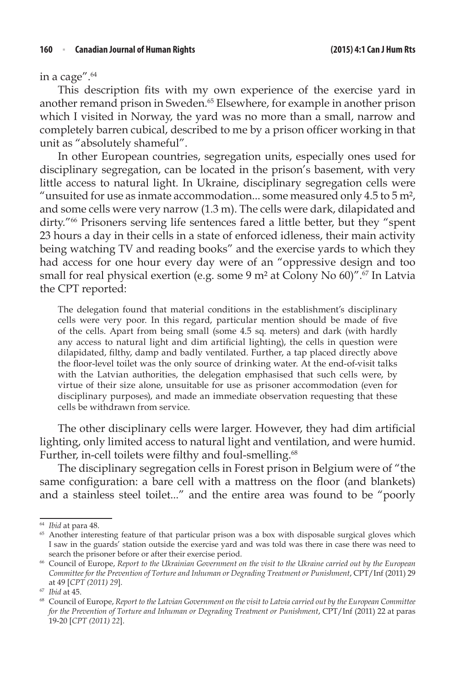in a cage".64

This description fits with my own experience of the exercise yard in another remand prison in Sweden.65 Elsewhere, for example in another prison which I visited in Norway, the yard was no more than a small, narrow and completely barren cubical, described to me by a prison officer working in that unit as "absolutely shameful".

In other European countries, segregation units, especially ones used for disciplinary segregation, can be located in the prison's basement, with very little access to natural light. In Ukraine, disciplinary segregation cells were "unsuited for use as inmate accommodation... some measured only  $4.5$  to  $5$  m<sup>2</sup>, and some cells were very narrow (1.3 m). The cells were dark, dilapidated and dirty."66 Prisoners serving life sentences fared a little better, but they "spent 23 hours a day in their cells in a state of enforced idleness, their main activity being watching TV and reading books" and the exercise yards to which they had access for one hour every day were of an "oppressive design and too small for real physical exertion (e.g. some 9 m<sup>2</sup> at Colony No 60)".<sup>67</sup> In Latvia the CPT reported:

The delegation found that material conditions in the establishment's disciplinary cells were very poor. In this regard, particular mention should be made of five of the cells. Apart from being small (some 4.5 sq. meters) and dark (with hardly any access to natural light and dim artificial lighting), the cells in question were dilapidated, filthy, damp and badly ventilated. Further, a tap placed directly above the floor-level toilet was the only source of drinking water. At the end-of-visit talks with the Latvian authorities, the delegation emphasised that such cells were, by virtue of their size alone, unsuitable for use as prisoner accommodation (even for disciplinary purposes), and made an immediate observation requesting that these cells be withdrawn from service.

The other disciplinary cells were larger. However, they had dim artificial lighting, only limited access to natural light and ventilation, and were humid. Further, in-cell toilets were filthy and foul-smelling.<sup>68</sup>

The disciplinary segregation cells in Forest prison in Belgium were of "the same configuration: a bare cell with a mattress on the floor (and blankets) and a stainless steel toilet..." and the entire area was found to be "poorly

<sup>64</sup> *Ibid* at para 48.

<sup>&</sup>lt;sup>65</sup> Another interesting feature of that particular prison was a box with disposable surgical gloves which I saw in the guards' station outside the exercise yard and was told was there in case there was need to search the prisoner before or after their exercise period. 66 Council of Europe, *Report to the Ukrainian Government on the visit to the Ukraine carried out by the European* 

*Committee for the Prevention of Torture and Inhuman or Degrading Treatment or Punishment*, CPT/Inf (2011) 29 at 49 [*CPT (2011) 29*].

<sup>67</sup> *Ibid* at 45.

<sup>68</sup> Council of Europe, *Report to the Latvian Government on the visit to Latvia carried out by the European Committee for the Prevention of Torture and Inhuman or Degrading Treatment or Punishment, CPT/Inf (2011) 22 at paras* 19-20 [*CPT (2011) 22*].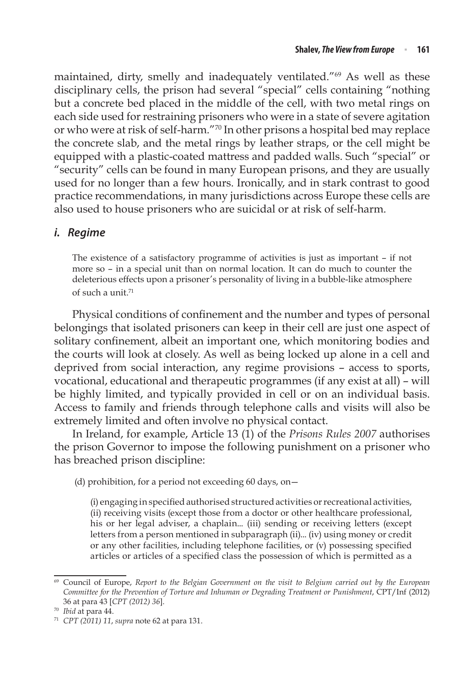maintained, dirty, smelly and inadequately ventilated."69 As well as these disciplinary cells, the prison had several "special" cells containing "nothing but a concrete bed placed in the middle of the cell, with two metal rings on each side used for restraining prisoners who were in a state of severe agitation or who were at risk of self-harm."70 In other prisons a hospital bed may replace the concrete slab, and the metal rings by leather straps, or the cell might be equipped with a plastic-coated mattress and padded walls. Such "special" or "security" cells can be found in many European prisons, and they are usually used for no longer than a few hours. Ironically, and in stark contrast to good practice recommendations, in many jurisdictions across Europe these cells are also used to house prisoners who are suicidal or at risk of self-harm.

### *i. Regime*

The existence of a satisfactory programme of activities is just as important – if not more so – in a special unit than on normal location. It can do much to counter the deleterious effects upon a prisoner's personality of living in a bubble-like atmosphere of such a unit.<sup>71</sup>

Physical conditions of confinement and the number and types of personal belongings that isolated prisoners can keep in their cell are just one aspect of solitary confinement, albeit an important one, which monitoring bodies and the courts will look at closely. As well as being locked up alone in a cell and deprived from social interaction, any regime provisions – access to sports, vocational, educational and therapeutic programmes (if any exist at all) – will be highly limited, and typically provided in cell or on an individual basis. Access to family and friends through telephone calls and visits will also be extremely limited and often involve no physical contact.

In Ireland, for example, Article 13 (1) of the *Prisons Rules 2007* authorises the prison Governor to impose the following punishment on a prisoner who has breached prison discipline:

(d) prohibition, for a period not exceeding 60 days, on—

(i) engaging in specified authorised structured activities or recreational activities, (ii) receiving visits (except those from a doctor or other healthcare professional, his or her legal adviser, a chaplain... (iii) sending or receiving letters (except letters from a person mentioned in subparagraph (ii)... (iv) using money or credit or any other facilities, including telephone facilities, or (v) possessing specified articles or articles of a specified class the possession of which is permitted as a

<sup>69</sup> Council of Europe, *Report to the Belgian Government on the visit to Belgium carried out by the European Committee for the Prevention of Torture and Inhuman or Degrading Treatment or Punishment*, CPT/Inf (2012) 36 at para 43 [*CPT (2012) 36*].

<sup>70</sup> *Ibid* at para 44.

<sup>71</sup> *CPT (2011) 11*, *supra* note 62 at para 131.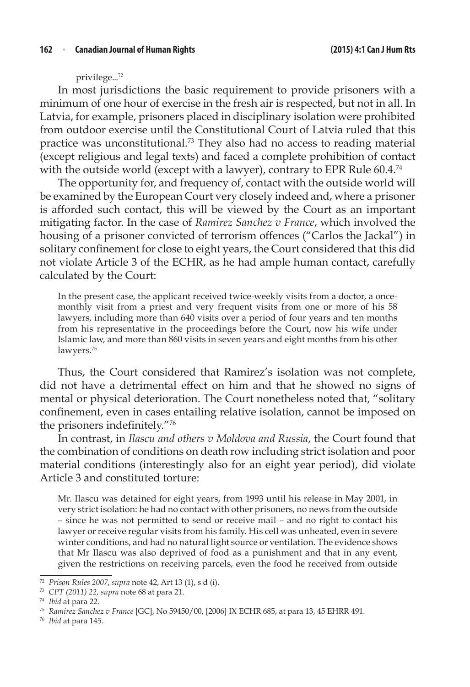privilege...<sup>72</sup>

In most jurisdictions the basic requirement to provide prisoners with a minimum of one hour of exercise in the fresh air is respected, but not in all. In Latvia, for example, prisoners placed in disciplinary isolation were prohibited from outdoor exercise until the Constitutional Court of Latvia ruled that this practice was unconstitutional.73 They also had no access to reading material (except religious and legal texts) and faced a complete prohibition of contact with the outside world (except with a lawyer), contrary to EPR Rule 60.4.<sup>74</sup>

The opportunity for, and frequency of, contact with the outside world will be examined by the European Court very closely indeed and, where a prisoner is afforded such contact, this will be viewed by the Court as an important mitigating factor. In the case of *Ramirez Sanchez v France*, which involved the housing of a prisoner convicted of terrorism offences ("Carlos the Jackal") in solitary confinement for close to eight years, the Court considered that this did not violate Article 3 of the ECHR, as he had ample human contact, carefully calculated by the Court:

In the present case, the applicant received twice-weekly visits from a doctor, a oncemonthly visit from a priest and very frequent visits from one or more of his 58 lawyers, including more than 640 visits over a period of four years and ten months from his representative in the proceedings before the Court, now his wife under Islamic law, and more than 860 visits in seven years and eight months from his other lawyers.<sup>75</sup>

Thus, the Court considered that Ramirez's isolation was not complete, did not have a detrimental effect on him and that he showed no signs of mental or physical deterioration. The Court nonetheless noted that, "solitary confinement, even in cases entailing relative isolation, cannot be imposed on the prisoners indefinitely."<sup>76</sup>

In contrast, in *Ilascu and others v Moldova and Russia*, the Court found that the combination of conditions on death row including strict isolation and poor material conditions (interestingly also for an eight year period), did violate Article 3 and constituted torture:

Mr. Ilascu was detained for eight years, from 1993 until his release in May 2001, in very strict isolation: he had no contact with other prisoners, no news from the outside – since he was not permitted to send or receive mail – and no right to contact his lawyer or receive regular visits from his family. His cell was unheated, even in severe winter conditions, and had no natural light source or ventilation. The evidence shows that Mr Ilascu was also deprived of food as a punishment and that in any event, given the restrictions on receiving parcels, even the food he received from outside

<sup>72</sup> *Prison Rules 2007*, *supra* note 42, Art 13 (1), s d (i).

<sup>73</sup> *CPT (2011) 22*, *supra* note 68 at para 21.

<sup>74</sup> *Ibid* at para 22.

<sup>75</sup> *Ramirez Sanchez v France* [GC], No 59450/00, [2006] IX ECHR 685, at para 13, 45 EHRR 491.

<sup>76</sup> *Ibid* at para 145.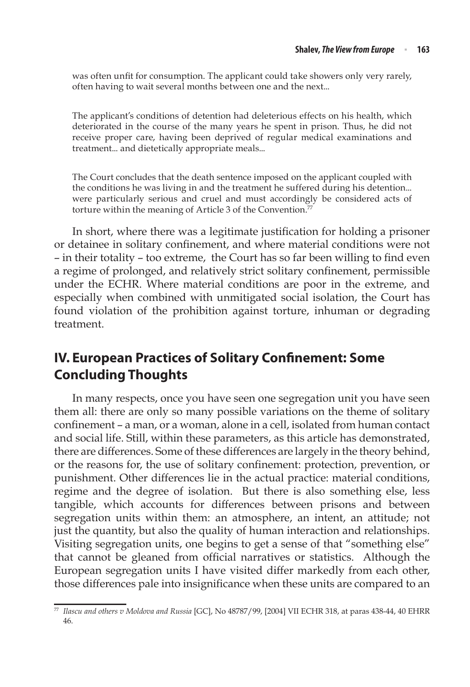was often unfit for consumption. The applicant could take showers only very rarely, often having to wait several months between one and the next...

The applicant's conditions of detention had deleterious effects on his health, which deteriorated in the course of the many years he spent in prison. Thus, he did not receive proper care, having been deprived of regular medical examinations and treatment... and dietetically appropriate meals...

The Court concludes that the death sentence imposed on the applicant coupled with the conditions he was living in and the treatment he suffered during his detention... were particularly serious and cruel and must accordingly be considered acts of torture within the meaning of Article 3 of the Convention.<sup>77</sup>

In short, where there was a legitimate justification for holding a prisoner or detainee in solitary confinement, and where material conditions were not – in their totality – too extreme, the Court has so far been willing to find even a regime of prolonged, and relatively strict solitary confinement, permissible under the ECHR. Where material conditions are poor in the extreme, and especially when combined with unmitigated social isolation, the Court has found violation of the prohibition against torture, inhuman or degrading treatment.

## **IV. European Practices of Solitary Confinement: Some Concluding Thoughts**

In many respects, once you have seen one segregation unit you have seen them all: there are only so many possible variations on the theme of solitary confinement – a man, or a woman, alone in a cell, isolated from human contact and social life. Still, within these parameters, as this article has demonstrated, there are differences. Some of these differences are largely in the theory behind, or the reasons for, the use of solitary confinement: protection, prevention, or punishment. Other differences lie in the actual practice: material conditions, regime and the degree of isolation. But there is also something else, less tangible, which accounts for differences between prisons and between segregation units within them: an atmosphere, an intent, an attitude; not just the quantity, but also the quality of human interaction and relationships. Visiting segregation units, one begins to get a sense of that "something else" that cannot be gleaned from official narratives or statistics. Although the European segregation units I have visited differ markedly from each other, those differences pale into insignificance when these units are compared to an

<sup>77</sup> *Ilascu and others v Moldova and Russia* [GC], No 48787/99, [2004] VII ECHR 318, at paras 438-44, 40 EHRR 46.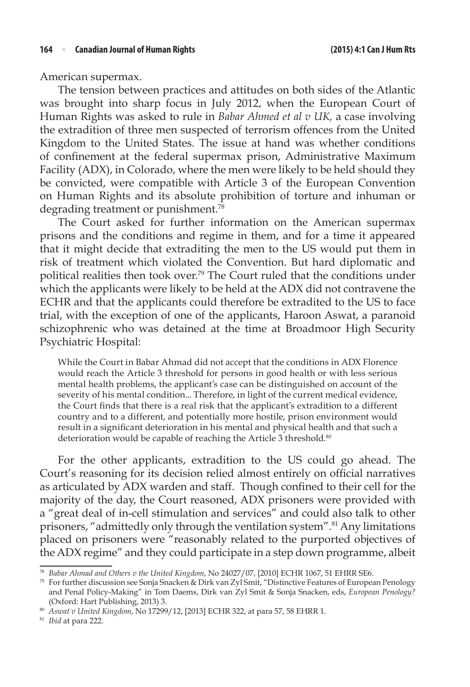American supermax.

The tension between practices and attitudes on both sides of the Atlantic was brought into sharp focus in July 2012, when the European Court of Human Rights was asked to rule in *Babar Ahmed et al v UK,* a case involving the extradition of three men suspected of terrorism offences from the United Kingdom to the United States. The issue at hand was whether conditions of confinement at the federal supermax prison, Administrative Maximum Facility (ADX), in Colorado, where the men were likely to be held should they be convicted, were compatible with Article 3 of the European Convention on Human Rights and its absolute prohibition of torture and inhuman or degrading treatment or punishment.<sup>78</sup>

The Court asked for further information on the American supermax prisons and the conditions and regime in them, and for a time it appeared that it might decide that extraditing the men to the US would put them in risk of treatment which violated the Convention. But hard diplomatic and political realities then took over.79 The Court ruled that the conditions under which the applicants were likely to be held at the ADX did not contravene the ECHR and that the applicants could therefore be extradited to the US to face trial, with the exception of one of the applicants, Haroon Aswat, a paranoid schizophrenic who was detained at the time at Broadmoor High Security Psychiatric Hospital:

While the Court in Babar Ahmad did not accept that the conditions in ADX Florence would reach the Article 3 threshold for persons in good health or with less serious mental health problems, the applicant's case can be distinguished on account of the severity of his mental condition... Therefore, in light of the current medical evidence, the Court finds that there is a real risk that the applicant's extradition to a different country and to a different, and potentially more hostile, prison environment would result in a significant deterioration in his mental and physical health and that such a deterioration would be capable of reaching the Article 3 threshold.<sup>80</sup>

For the other applicants, extradition to the US could go ahead. The Court's reasoning for its decision relied almost entirely on official narratives as articulated by ADX warden and staff. Though confined to their cell for the majority of the day, the Court reasoned, ADX prisoners were provided with a "great deal of in-cell stimulation and services" and could also talk to other prisoners, "admittedly only through the ventilation system".<sup>81</sup> Any limitations placed on prisoners were "reasonably related to the purported objectives of the ADX regime" and they could participate in a step down programme, albeit

<sup>78</sup> *Babar Ahmad and Others v the United Kingdom*, No 24027/07, [2010] ECHR 1067, 51 EHRR SE6.

 $79$  For further discussion see Sonja Snacken & Dirk van Zyl Smit, "Distinctive Features of European Penology and Penal Policy-Making" in Tom Daems, Dirk van Zyl Smit & Sonja Snacken, eds, *European Penology?* (Oxford: Hart Publishing, 2013) 3.

<sup>80</sup> *Aswat v United Kingdom*, No 17299/12, [2013] ECHR 322, at para 57, 58 EHRR 1.

<sup>81</sup> *Ibid* at para 222.